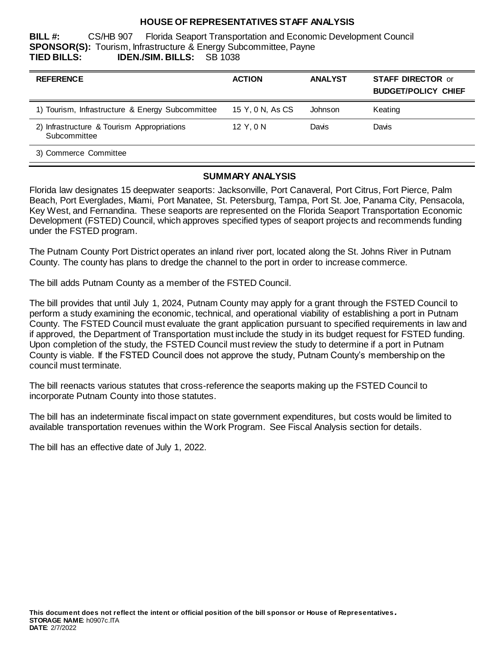## **HOUSE OF REPRESENTATIVES STAFF ANALYSIS**

**BILL #:** CS/HB 907 Florida Seaport Transportation and Economic Development Council **SPONSOR(S):** Tourism, Infrastructure & Energy Subcommittee, Payne **TIED BILLS: IDEN./SIM. BILLS:** SB 1038

| <b>REFERENCE</b>                                           | <b>ACTION</b>    | <b>ANALYST</b> | <b>STAFF DIRECTOR or</b><br><b>BUDGET/POLICY CHIEF</b> |
|------------------------------------------------------------|------------------|----------------|--------------------------------------------------------|
| 1) Tourism, Infrastructure & Energy Subcommittee           | 15 Y, 0 N, As CS | Johnson        | Keating                                                |
| 2) Infrastructure & Tourism Appropriations<br>Subcommittee | 12 Y.0 N         | Davis          | Davis                                                  |
| 3) Commerce Committee                                      |                  |                |                                                        |

#### **SUMMARY ANALYSIS**

Florida law designates 15 deepwater seaports: Jacksonville, Port Canaveral, Port Citrus, Fort Pierce, Palm Beach, Port Everglades, Miami, Port Manatee, St. Petersburg, Tampa, Port St. Joe, Panama City, Pensacola, Key West, and Fernandina. These seaports are represented on the Florida Seaport Transportation Economic Development (FSTED) Council, which approves specified types of seaport projects and recommends funding under the FSTED program.

The Putnam County Port District operates an inland river port, located along the St. Johns River in Putnam County. The county has plans to dredge the channel to the port in order to increase commerce.

The bill adds Putnam County as a member of the FSTED Council.

The bill provides that until July 1, 2024, Putnam County may apply for a grant through the FSTED Council to perform a study examining the economic, technical, and operational viability of establishing a port in Putnam County. The FSTED Council must evaluate the grant application pursuant to specified requirements in law and if approved, the Department of Transportation must include the study in its budget request for FSTED funding. Upon completion of the study, the FSTED Council must review the study to determine if a port in Putnam County is viable. If the FSTED Council does not approve the study, Putnam County's membership on the council must terminate.

The bill reenacts various statutes that cross-reference the seaports making up the FSTED Council to incorporate Putnam County into those statutes.

The bill has an indeterminate fiscal impact on state government expenditures, but costs would be limited to available transportation revenues within the Work Program. See Fiscal Analysis section for details.

The bill has an effective date of July 1, 2022.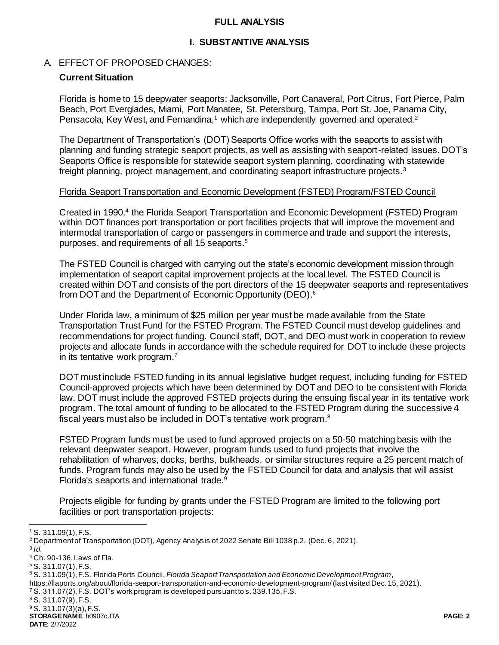#### **FULL ANALYSIS**

## **I. SUBSTANTIVE ANALYSIS**

### A. EFFECT OF PROPOSED CHANGES:

### **Current Situation**

Florida is home to 15 deepwater seaports: Jacksonville, Port Canaveral, Port Citrus, Fort Pierce, Palm Beach, Port Everglades, Miami, Port Manatee, St. Petersburg, Tampa, Port St. Joe, Panama City, Pensacola, Key West, and Fernandina,<sup>1</sup> which are independently governed and operated.<sup>2</sup>

The Department of Transportation's (DOT) Seaports Office works with the seaports to assist with planning and funding strategic seaport projects, as well as assisting with seaport-related issues. DOT's Seaports Office is responsible for statewide seaport system planning, coordinating with statewide freight planning, project management, and coordinating seaport infrastructure projects.<sup>3</sup>

#### Florida Seaport Transportation and Economic Development (FSTED) Program/FSTED Council

Created in 1990,<sup>4</sup> the Florida Seaport Transportation and Economic Development (FSTED) Program within DOT finances port transportation or port facilities projects that will improve the movement and intermodal transportation of cargo or passengers in commerce and trade and support the interests, purposes, and requirements of all 15 seaports. 5

The FSTED Council is charged with carrying out the state's economic development mission through implementation of seaport capital improvement projects at the local level. The FSTED Council is created within DOT and consists of the port directors of the 15 deepwater seaports and representatives from DOT and the Department of Economic Opportunity (DEO). 6

Under Florida law, a minimum of \$25 million per year must be made available from the State Transportation Trust Fund for the FSTED Program. The FSTED Council must develop guidelines and recommendations for project funding. Council staff, DOT, and DEO must work in cooperation to review projects and allocate funds in accordance with the schedule required for DOT to include these projects in its tentative work program.<sup>7</sup>

DOT must include FSTED funding in its annual legislative budget request, including funding for FSTED Council-approved projects which have been determined by DOT and DEO to be consistent with Florida law. DOT must include the approved FSTED projects during the ensuing fiscal year in its tentative work program. The total amount of funding to be allocated to the FSTED Program during the successive 4 fiscal years must also be included in DOT's tentative work program.<sup>8</sup>

FSTED Program funds must be used to fund approved projects on a 50-50 matching basis with the relevant deepwater seaport. However, program funds used to fund projects that involve the rehabilitation of wharves, docks, berths, bulkheads, or similar structures require a 25 percent match of funds. Program funds may also be used by the FSTED Council for data and analysis that will assist Florida's seaports and international trade.<sup>9</sup>

Projects eligible for funding by grants under the FSTED Program are limited to the following port facilities or port transportation projects:

l

<sup>1</sup> S. 311.09(1), F.S.

<sup>2</sup> Department of Transportation (DOT), Agency Analysis of 2022 Senate Bill 1038 p.2. (Dec. 6, 2021).

<sup>3</sup> *Id.*

<sup>4</sup> Ch. 90-136, Laws of Fla.

<sup>5</sup> S. 311.07(1), F.S.

<sup>6</sup> S. 311.09(1), F.S. Florida Ports Council, *Florida Seaport Transportation and Economic Development Program*,

https://flaports.org/about/florida-seaport-transportation-and-economic-development-program/ (last visited Dec. 15, 2021).

<sup>7</sup> S. 311.07(2), F.S. DOT's work program is developed pursuant to s. 339.135, F.S.

<sup>8</sup> S. 311.07(9), F.S.

<sup>9</sup> S. 311.07(3)(a), F.S.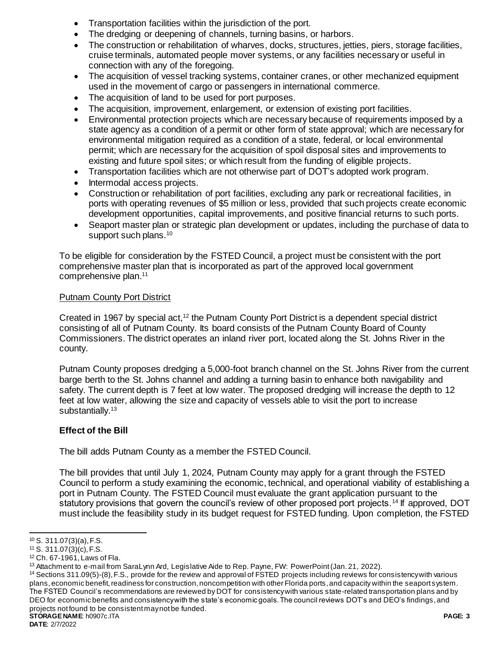- Transportation facilities within the jurisdiction of the port.
- The dredging or deepening of channels, turning basins, or harbors.
- The construction or rehabilitation of wharves, docks, structures, jetties, piers, storage facilities, cruise terminals, automated people mover systems, or any facilities necessary or useful in connection with any of the foregoing.
- The acquisition of vessel tracking systems, container cranes, or other mechanized equipment used in the movement of cargo or passengers in international commerce.
- The acquisition of land to be used for port purposes.
- The acquisition, improvement, enlargement, or extension of existing port facilities.
- Environmental protection projects which are necessary because of requirements imposed by a state agency as a condition of a permit or other form of state approval; which are necessary for environmental mitigation required as a condition of a state, federal, or local environmental permit; which are necessary for the acquisition of spoil disposal sites and improvements to existing and future spoil sites; or which result from the funding of eligible projects.
- Transportation facilities which are not otherwise part of DOT's adopted work program.
- Intermodal access projects.
- Construction or rehabilitation of port facilities, excluding any park or recreational facilities, in ports with operating revenues of \$5 million or less, provided that such projects create economic development opportunities, capital improvements, and positive financial returns to such ports.
- Seaport master plan or strategic plan development or updates, including the purchase of data to support such plans.<sup>10</sup>

To be eligible for consideration by the FSTED Council, a project must be consistent with the port comprehensive master plan that is incorporated as part of the approved local government comprehensive plan. 11

### Putnam County Port District

Created in 1967 by special act,<sup>12</sup> the Putnam County Port District is a dependent special district consisting of all of Putnam County. Its board consists of the Putnam County Board of County Commissioners. The district operates an inland river port, located along the St. Johns River in the county.

Putnam County proposes dredging a 5,000-foot branch channel on the St. Johns River from the current barge berth to the St. Johns channel and adding a turning basin to enhance both navigability and safety. The current depth is 7 feet at low water. The proposed dredging will increase the depth to 12 feet at low water, allowing the size and capacity of vessels able to visit the port to increase substantially.<sup>13</sup>

## **Effect of the Bill**

The bill adds Putnam County as a member the FSTED Council.

The bill provides that until July 1, 2024, Putnam County may apply for a grant through the FSTED Council to perform a study examining the economic, technical, and operational viability of establishing a port in Putnam County. The FSTED Council must evaluate the grant application pursuant to the statutory provisions that govern the council's review of other proposed port projects.<sup>14</sup> If approved, DOT must include the feasibility study in its budget request for FSTED funding. Upon completion, the FSTED

l  $10$  S. 311.07(3)(a), F.S.

 $11$  S. 311.07(3)(c), F.S.

<sup>12</sup> Ch. 67-1961, Laws of Fla.

<sup>&</sup>lt;sup>13</sup> Attachment to e-mail from SaraLynn Ard, Legislative Aide to Rep. Payne, FW: PowerPoint (Jan. 21, 2022).

**STORAGE NAME**: h0907c.ITA **PAGE: 3** <sup>14</sup> Sections 311.09(5)-(8), F.S., provide for the review and approval of FSTED projects including reviews for consistency with various plans, economic benefit, readiness for construction, noncompetition with other Florida ports, and capacity within the seaport system. The FSTED Council's recommendations are reviewed by DOT for consistency with various state-related transportation plans and by DEO for economic benefits and consistency with the state's economic goals. The council reviews DOT's and DEO's findings, and projects not found to be consistent may not be funded.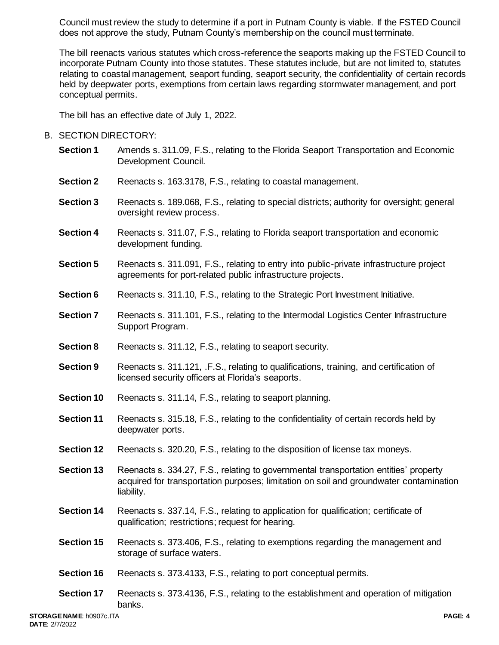Council must review the study to determine if a port in Putnam County is viable. If the FSTED Council does not approve the study, Putnam County's membership on the council must terminate.

The bill reenacts various statutes which cross-reference the seaports making up the FSTED Council to incorporate Putnam County into those statutes. These statutes include, but are not limited to, statutes relating to coastal management, seaport funding, seaport security, the confidentiality of certain records held by deepwater ports, exemptions from certain laws regarding stormwater management, and port conceptual permits.

The bill has an effective date of July 1, 2022.

## B. SECTION DIRECTORY:

- **Section 1** Amends s. 311.09, F.S., relating to the Florida Seaport Transportation and Economic Development Council.
- **Section 2** Reenacts s. 163.3178, F.S., relating to coastal management.
- **Section 3** Reenacts s. 189.068, F.S., relating to special districts; authority for oversight; general oversight review process.
- **Section 4** Reenacts s. 311.07, F.S., relating to Florida seaport transportation and economic development funding.
- **Section 5** Reenacts s. 311.091, F.S., relating to entry into public-private infrastructure project agreements for port-related public infrastructure projects.
- **Section 6** Reenacts s. 311.10, F.S., relating to the Strategic Port Investment Initiative.
- **Section 7** Reenacts s. 311.101, F.S., relating to the Intermodal Logistics Center Infrastructure Support Program.
- **Section 8** Reenacts s. 311.12, F.S., relating to seaport security.
- **Section 9** Reenacts s. 311.121, .F.S., relating to qualifications, training, and certification of licensed security officers at Florida's seaports.
- **Section 10** Reenacts s. 311.14, F.S., relating to seaport planning.
- **Section 11** Reenacts s. 315.18, F.S., relating to the confidentiality of certain records held by deepwater ports.
- **Section 12** Reenacts s. 320.20, F.S., relating to the disposition of license tax moneys.
- **Section 13** Reenacts s. 334.27, F.S., relating to governmental transportation entities' property acquired for transportation purposes; limitation on soil and groundwater contamination liability.
- **Section 14** Reenacts s. 337.14, F.S., relating to application for qualification; certificate of qualification; restrictions; request for hearing.
- **Section 15** Reenacts s. 373.406, F.S., relating to exemptions regarding the management and storage of surface waters.
- **Section 16** Reenacts s. 373.4133, F.S., relating to port conceptual permits.
- **Section 17** Reenacts s. 373.4136, F.S., relating to the establishment and operation of mitigation banks.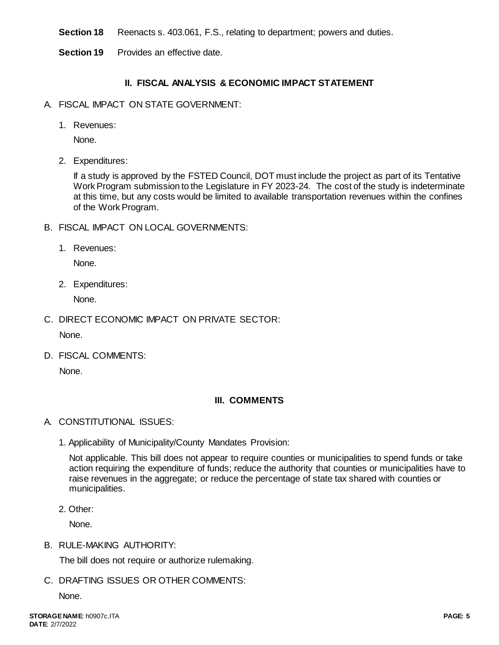**Section 18** Reenacts s. 403.061, F.S., relating to department; powers and duties.

**Section 19** Provides an effective date.

# **II. FISCAL ANALYSIS & ECONOMIC IMPACT STATEMENT**

- A. FISCAL IMPACT ON STATE GOVERNMENT:
	- 1. Revenues:

None.

2. Expenditures:

If a study is approved by the FSTED Council, DOT must include the project as part of its Tentative Work Program submission to the Legislature in FY 2023-24. The cost of the study is indeterminate at this time, but any costs would be limited to available transportation revenues within the confines of the Work Program.

- B. FISCAL IMPACT ON LOCAL GOVERNMENTS:
	- 1. Revenues:

None.

2. Expenditures:

None.

C. DIRECT ECONOMIC IMPACT ON PRIVATE SECTOR:

None.

D. FISCAL COMMENTS:

None.

# **III. COMMENTS**

- A. CONSTITUTIONAL ISSUES:
	- 1. Applicability of Municipality/County Mandates Provision:

Not applicable. This bill does not appear to require counties or municipalities to spend funds or take action requiring the expenditure of funds; reduce the authority that counties or municipalities have to raise revenues in the aggregate; or reduce the percentage of state tax shared with counties or municipalities.

2. Other:

None.

B. RULE-MAKING AUTHORITY:

The bill does not require or authorize rulemaking.

C. DRAFTING ISSUES OR OTHER COMMENTS:

None.